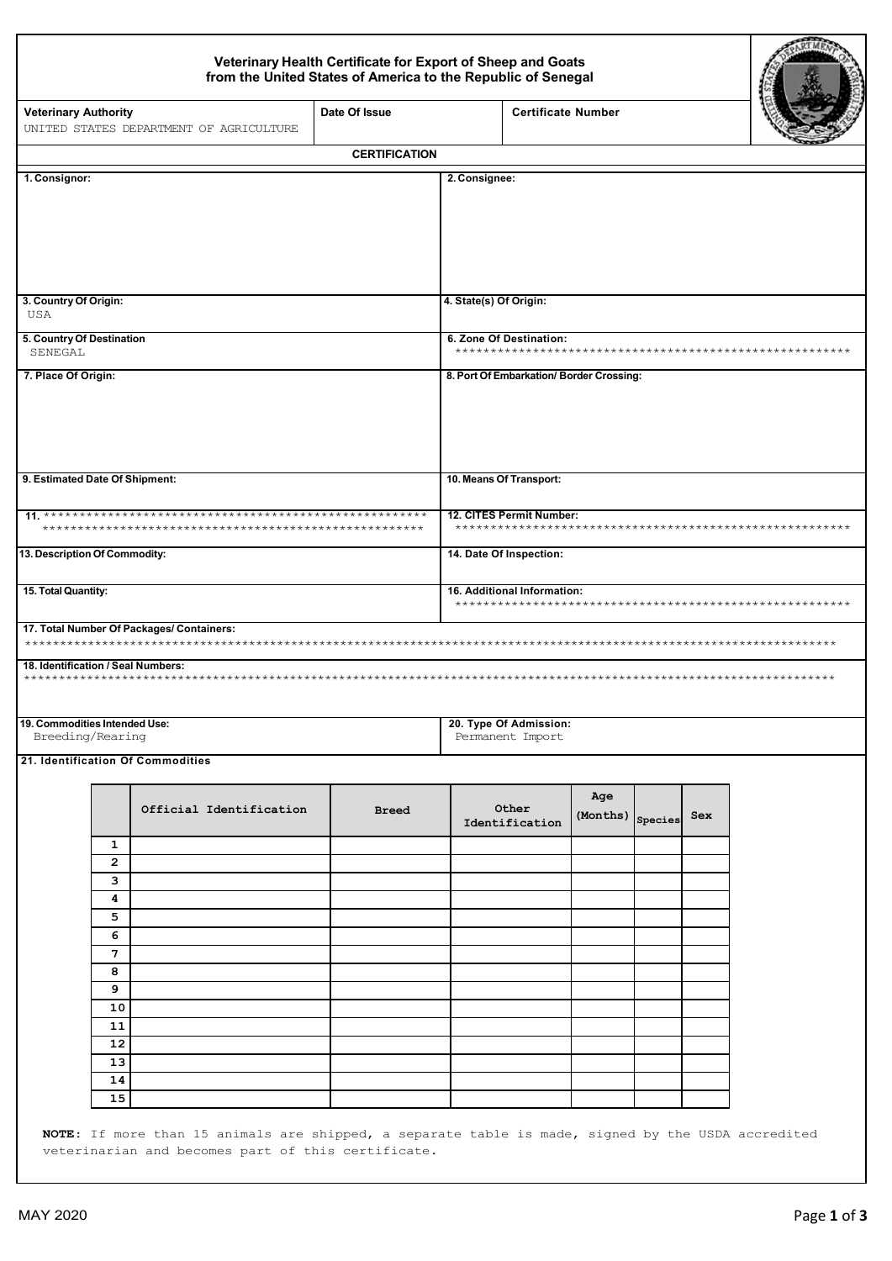## Veterinary Health Certificate for Export of Sheep and Goats<br>from the United States of America to the Republic of Senegal

|                                                   | Date Of Issue<br><b>Veterinary Authority</b><br>UNITED STATES DEPARTMENT OF AGRICULTURE |                                           |                         | <b>Certificate Number</b>                |                         |                        |     |  |  |  |
|---------------------------------------------------|-----------------------------------------------------------------------------------------|-------------------------------------------|-------------------------|------------------------------------------|-------------------------|------------------------|-----|--|--|--|
|                                                   |                                                                                         |                                           | <b>CERTIFICATION</b>    |                                          |                         |                        |     |  |  |  |
| 1. Consignor:                                     |                                                                                         |                                           |                         | 2. Consignee:                            |                         |                        |     |  |  |  |
| 3. Country Of Origin:<br>USA                      |                                                                                         |                                           | 4. State(s) Of Origin:  |                                          |                         |                        |     |  |  |  |
| 5. Country Of Destination<br>SENEGAL              |                                                                                         |                                           | 6. Zone Of Destination: |                                          |                         |                        |     |  |  |  |
| 7. Place Of Origin:                               |                                                                                         |                                           |                         | 8. Port Of Embarkation/ Border Crossing: |                         |                        |     |  |  |  |
| 9. Estimated Date Of Shipment:                    |                                                                                         |                                           |                         | 10. Means Of Transport:                  |                         |                        |     |  |  |  |
|                                                   |                                                                                         |                                           |                         | 12. CITES Permit Number:                 |                         |                        |     |  |  |  |
| 13. Description Of Commodity:                     |                                                                                         |                                           | 14. Date Of Inspection: |                                          |                         |                        |     |  |  |  |
| 15. Total Quantity:                               |                                                                                         |                                           |                         | 16. Additional Information:              |                         |                        |     |  |  |  |
|                                                   |                                                                                         | 17. Total Number Of Packages/ Containers: |                         |                                          |                         |                        |     |  |  |  |
| 18. Identification / Seal Numbers:                |                                                                                         |                                           |                         |                                          |                         |                        |     |  |  |  |
| 19. Commodities Intended Use:<br>Breeding/Rearing |                                                                                         |                                           |                         |                                          |                         | 20. Type Of Admission: |     |  |  |  |
|                                                   |                                                                                         |                                           |                         | Permanent Import                         |                         |                        |     |  |  |  |
|                                                   |                                                                                         | 21. Identification Of Commodities         |                         |                                          |                         |                        |     |  |  |  |
|                                                   |                                                                                         | Official Identification                   | <b>Breed</b>            | Other<br>Identification                  | Age<br>(Months) Species |                        | Sex |  |  |  |
|                                                   | 1                                                                                       |                                           |                         |                                          |                         |                        |     |  |  |  |
|                                                   | 2                                                                                       |                                           |                         |                                          |                         |                        |     |  |  |  |
|                                                   | 3<br>4                                                                                  |                                           |                         |                                          |                         |                        |     |  |  |  |
|                                                   | 5                                                                                       |                                           |                         |                                          |                         |                        |     |  |  |  |
|                                                   | 6                                                                                       |                                           |                         |                                          |                         |                        |     |  |  |  |
|                                                   | 7                                                                                       |                                           |                         |                                          |                         |                        |     |  |  |  |
|                                                   | 8                                                                                       |                                           |                         |                                          |                         |                        |     |  |  |  |
|                                                   | 9                                                                                       |                                           |                         |                                          |                         |                        |     |  |  |  |
|                                                   | 10<br>11                                                                                |                                           |                         |                                          |                         |                        |     |  |  |  |
|                                                   | 12                                                                                      |                                           |                         |                                          |                         |                        |     |  |  |  |
|                                                   | 13                                                                                      |                                           |                         |                                          |                         |                        |     |  |  |  |
|                                                   | 14<br>15                                                                                |                                           |                         |                                          |                         |                        |     |  |  |  |

**RTMENT**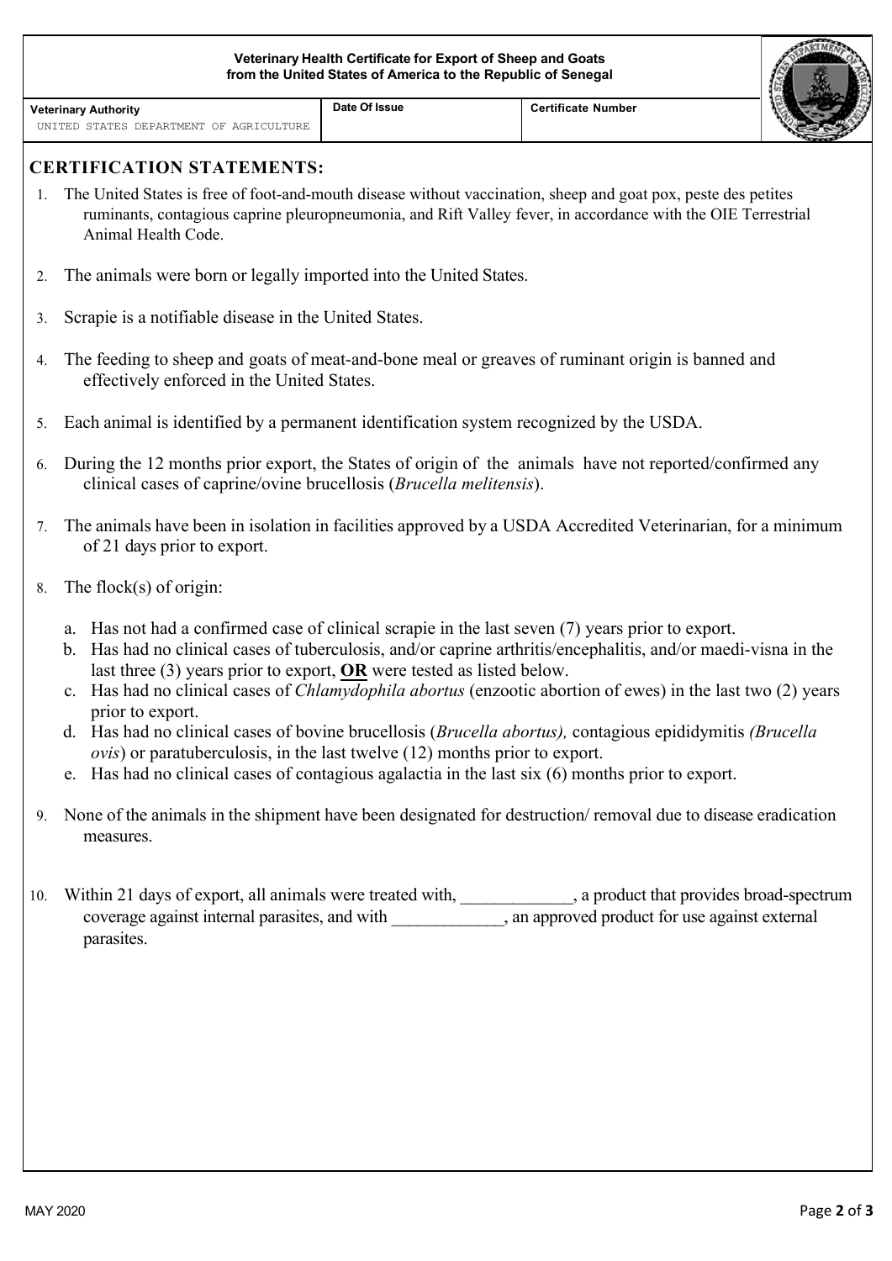| Veterinary Health Certificate for Export of Sheep and Goats<br>from the United States of America to the Republic of Senegal |                                                                                                                                                                                                                                                                                                                                                                                                                                                                                                                                                                                                                                                                                                                                               |               |                           |  |  |
|-----------------------------------------------------------------------------------------------------------------------------|-----------------------------------------------------------------------------------------------------------------------------------------------------------------------------------------------------------------------------------------------------------------------------------------------------------------------------------------------------------------------------------------------------------------------------------------------------------------------------------------------------------------------------------------------------------------------------------------------------------------------------------------------------------------------------------------------------------------------------------------------|---------------|---------------------------|--|--|
| <b>Veterinary Authority</b><br>UNITED STATES DEPARTMENT OF AGRICULTURE                                                      |                                                                                                                                                                                                                                                                                                                                                                                                                                                                                                                                                                                                                                                                                                                                               | Date Of Issue | <b>Certificate Number</b> |  |  |
|                                                                                                                             | <b>CERTIFICATION STATEMENTS:</b>                                                                                                                                                                                                                                                                                                                                                                                                                                                                                                                                                                                                                                                                                                              |               |                           |  |  |
|                                                                                                                             | The United States is free of foot-and-mouth disease without vaccination, sheep and goat pox, peste des petites<br>ruminants, contagious caprine pleuropneumonia, and Rift Valley fever, in accordance with the OIE Terrestrial<br>Animal Health Code.                                                                                                                                                                                                                                                                                                                                                                                                                                                                                         |               |                           |  |  |
| 2.                                                                                                                          | The animals were born or legally imported into the United States.                                                                                                                                                                                                                                                                                                                                                                                                                                                                                                                                                                                                                                                                             |               |                           |  |  |
| 3.                                                                                                                          | Scrapie is a notifiable disease in the United States.                                                                                                                                                                                                                                                                                                                                                                                                                                                                                                                                                                                                                                                                                         |               |                           |  |  |
| 4.                                                                                                                          | The feeding to sheep and goats of meat-and-bone meal or greaves of ruminant origin is banned and<br>effectively enforced in the United States.                                                                                                                                                                                                                                                                                                                                                                                                                                                                                                                                                                                                |               |                           |  |  |
| 5.                                                                                                                          | Each animal is identified by a permanent identification system recognized by the USDA.                                                                                                                                                                                                                                                                                                                                                                                                                                                                                                                                                                                                                                                        |               |                           |  |  |
| 6.                                                                                                                          | During the 12 months prior export, the States of origin of the animals have not reported/confirmed any<br>clinical cases of caprine/ovine brucellosis ( <i>Brucella melitensis</i> ).                                                                                                                                                                                                                                                                                                                                                                                                                                                                                                                                                         |               |                           |  |  |
| 7.                                                                                                                          | The animals have been in isolation in facilities approved by a USDA Accredited Veterinarian, for a minimum<br>of 21 days prior to export.                                                                                                                                                                                                                                                                                                                                                                                                                                                                                                                                                                                                     |               |                           |  |  |
| 8.                                                                                                                          | The flock $(s)$ of origin:                                                                                                                                                                                                                                                                                                                                                                                                                                                                                                                                                                                                                                                                                                                    |               |                           |  |  |
|                                                                                                                             | a. Has not had a confirmed case of clinical scrapie in the last seven (7) years prior to export.<br>b. Has had no clinical cases of tuberculosis, and/or caprine arthritis/encephalitis, and/or maedi-visna in the<br>last three $(3)$ years prior to export, OR were tested as listed below.<br>Has had no clinical cases of <i>Chlamydophila abortus</i> (enzootic abortion of ewes) in the last two (2) years<br>c.<br>prior to export.<br>d. Has had no clinical cases of bovine brucellosis (Brucella abortus), contagious epididymitis (Brucella<br>$ovis$ ) or paratuberculosis, in the last twelve $(12)$ months prior to export.<br>e. Has had no clinical cases of contagious agalactia in the last six (6) months prior to export. |               |                           |  |  |
| 9.                                                                                                                          | None of the animals in the shipment have been designated for destruction/removal due to disease eradication<br>measures.                                                                                                                                                                                                                                                                                                                                                                                                                                                                                                                                                                                                                      |               |                           |  |  |
| 10.                                                                                                                         | Within 21 days of export, all animals were treated with, _____________, a product that provides broad-spectrum<br>coverage against internal parasites, and with _____________, an approved product for use against external<br>parasites.                                                                                                                                                                                                                                                                                                                                                                                                                                                                                                     |               |                           |  |  |
|                                                                                                                             |                                                                                                                                                                                                                                                                                                                                                                                                                                                                                                                                                                                                                                                                                                                                               |               |                           |  |  |